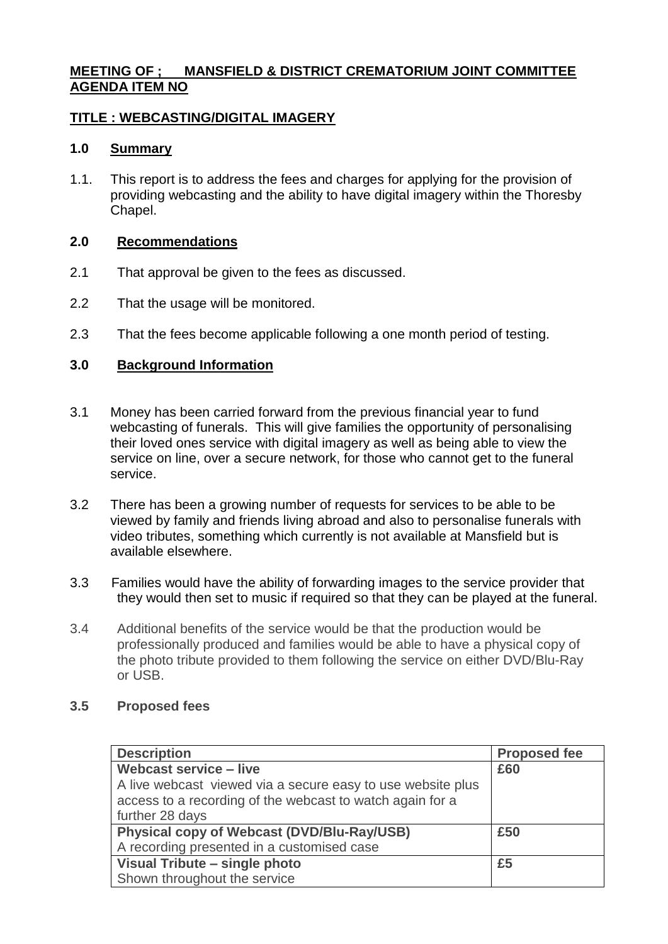## **MEETING OF ; MANSFIELD & DISTRICT CREMATORIUM JOINT COMMITTEE AGENDA ITEM NO**

## **TITLE : WEBCASTING/DIGITAL IMAGERY**

# **1.0 Summary**

1.1. This report is to address the fees and charges for applying for the provision of providing webcasting and the ability to have digital imagery within the Thoresby Chapel.

#### **2.0 Recommendations**

- 2.1 That approval be given to the fees as discussed.
- 2.2 That the usage will be monitored.
- 2.3 That the fees become applicable following a one month period of testing.

### **3.0 Background Information**

- 3.1 Money has been carried forward from the previous financial year to fund webcasting of funerals. This will give families the opportunity of personalising their loved ones service with digital imagery as well as being able to view the service on line, over a secure network, for those who cannot get to the funeral service.
- 3.2 There has been a growing number of requests for services to be able to be viewed by family and friends living abroad and also to personalise funerals with video tributes, something which currently is not available at Mansfield but is available elsewhere.
- 3.3 Families would have the ability of forwarding images to the service provider that they would then set to music if required so that they can be played at the funeral.
- 3.4 Additional benefits of the service would be that the production would be professionally produced and families would be able to have a physical copy of the photo tribute provided to them following the service on either DVD/Blu-Ray or USB.

#### **3.5 Proposed fees**

| <b>Description</b>                                          | <b>Proposed fee</b> |
|-------------------------------------------------------------|---------------------|
| <b>Webcast service - live</b>                               | £60                 |
| A live webcast viewed via a secure easy to use website plus |                     |
| access to a recording of the webcast to watch again for a   |                     |
| further 28 days                                             |                     |
| Physical copy of Webcast (DVD/Blu-Ray/USB)                  | £50                 |
| A recording presented in a customised case                  |                     |
| Visual Tribute - single photo                               | £5                  |
| Shown throughout the service                                |                     |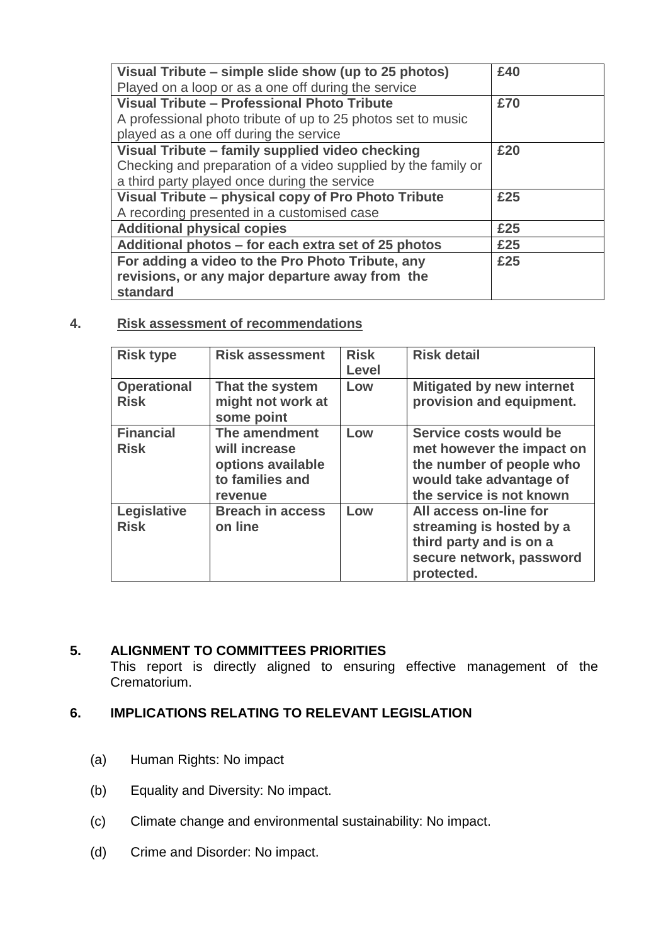| Visual Tribute – simple slide show (up to 25 photos)<br>Played on a loop or as a one off during the service | £40 |
|-------------------------------------------------------------------------------------------------------------|-----|
| Visual Tribute - Professional Photo Tribute<br>A professional photo tribute of up to 25 photos set to music | £70 |
| played as a one off during the service                                                                      |     |
| Visual Tribute - family supplied video checking                                                             | £20 |
| Checking and preparation of a video supplied by the family or                                               |     |
| a third party played once during the service                                                                |     |
| Visual Tribute - physical copy of Pro Photo Tribute                                                         | £25 |
| A recording presented in a customised case                                                                  |     |
| <b>Additional physical copies</b>                                                                           | £25 |
| Additional photos – for each extra set of 25 photos                                                         | £25 |
| For adding a video to the Pro Photo Tribute, any                                                            | £25 |
| revisions, or any major departure away from the                                                             |     |
| standard                                                                                                    |     |

# **4. Risk assessment of recommendations**

| <b>Risk type</b>                  | <b>Risk assessment</b>                                                            | <b>Risk</b><br><b>Level</b> | <b>Risk detail</b>                                                                                                                     |
|-----------------------------------|-----------------------------------------------------------------------------------|-----------------------------|----------------------------------------------------------------------------------------------------------------------------------------|
| <b>Operational</b><br><b>Risk</b> | That the system<br>might not work at<br>some point                                | Low                         | <b>Mitigated by new internet</b><br>provision and equipment.                                                                           |
| <b>Financial</b><br><b>Risk</b>   | The amendment<br>will increase<br>options available<br>to families and<br>revenue | Low                         | Service costs would be<br>met however the impact on<br>the number of people who<br>would take advantage of<br>the service is not known |
| Legislative<br><b>Risk</b>        | <b>Breach in access</b><br>on line                                                | Low                         | All access on-line for<br>streaming is hosted by a<br>third party and is on a<br>secure network, password<br>protected.                |

# **5. ALIGNMENT TO COMMITTEES PRIORITIES**

This report is directly aligned to ensuring effective management of the Crematorium.

## **6. IMPLICATIONS RELATING TO RELEVANT LEGISLATION**

- (a) Human Rights: No impact
- (b) Equality and Diversity: No impact.
- (c) Climate change and environmental sustainability: No impact.
- (d) Crime and Disorder: No impact.